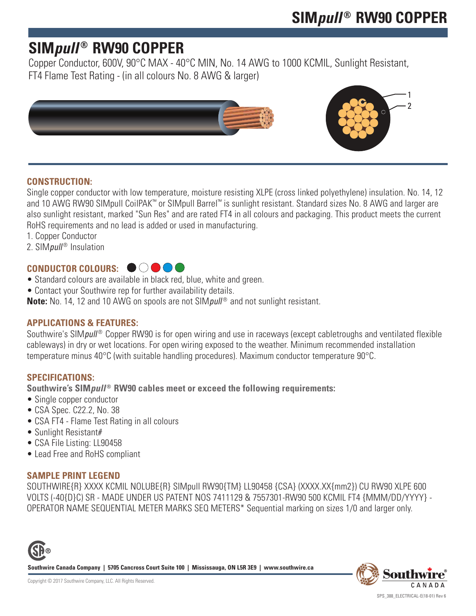## **SIM***pull* **® RW90 COPPER**

Copper Conductor, 600V, 90°C MAX - 40°C MIN, No. 14 AWG to 1000 KCMIL, Sunlight Resistant, FT4 Flame Test Rating - (in all colours No. 8 AWG & larger)



### **CONSTRUCTION:**

Single copper conductor with low temperature, moisture resisting XLPE (cross linked polyethylene) insulation. No. 14, 12 and 10 AWG RW90 SIMpull CoilPAK™ or SIMpull Barrel™ is sunlight resistant. Standard sizes No. 8 AWG and larger are also sunlight resistant, marked "Sun Res" and are rated FT4 in all colours and packaging. This product meets the current RoHS requirements and no lead is added or used in manufacturing.

- 1. Copper Conductor
- 2. SIMpull<sup>®</sup> Insulation

### **CONDUCTOR COLOURS:**

- Standard colours are available in black red, blue, white and green.
- Contact your Southwire rep for further availability details.

**Note:** No. 14, 12 and 10 AWG on spools are not SIM *pull*<sup>®</sup> and not sunlight resistant.

#### **APPLICATIONS & FEATURES:**

Southwire's SIM*pull<sup>®</sup>* Copper RW90 is for open wiring and use in raceways (except cabletroughs and ventilated flexible cableways) in dry or wet locations. For open wiring exposed to the weather. Minimum recommended installation temperature minus 40°C (with suitable handling procedures). Maximum conductor temperature 90°C.

#### **SPECIFICATIONS:**

**Southwire's SIM***pull* **® RW90 cables meet or exceed the following requirements:**

- Single copper conductor
- CSA Spec. C22.2, No. 38
- CSA FT4 Flame Test Rating in all colours
- Sunlight Resistant#
- CSA File Listing: LL90458
- Lead Free and RoHS compliant

#### **SAMPLE PRINT LEGEND**

SOUTHWIRE{R} XXXX KCMIL NOLUBE{R} SIMpull RW90{TM} LL90458 {CSA} (XXXX.XX{mm2}) CU RW90 XLPE 600 VOLTS (-40{D}C) SR - MADE UNDER US PATENT NOS 7411129 & 7557301-RW90 500 KCMIL FT4 {MMM/DD/YYYY} - OPERATOR NAME SEQUENTIAL METER MARKS SEQ METERS\* Sequential marking on sizes 1/0 and larger only.



**Southwire Canada Company | 5705 Cancross Court Suite 100 | Mississauga, ON L5R 3E9 | www.southwire.ca**